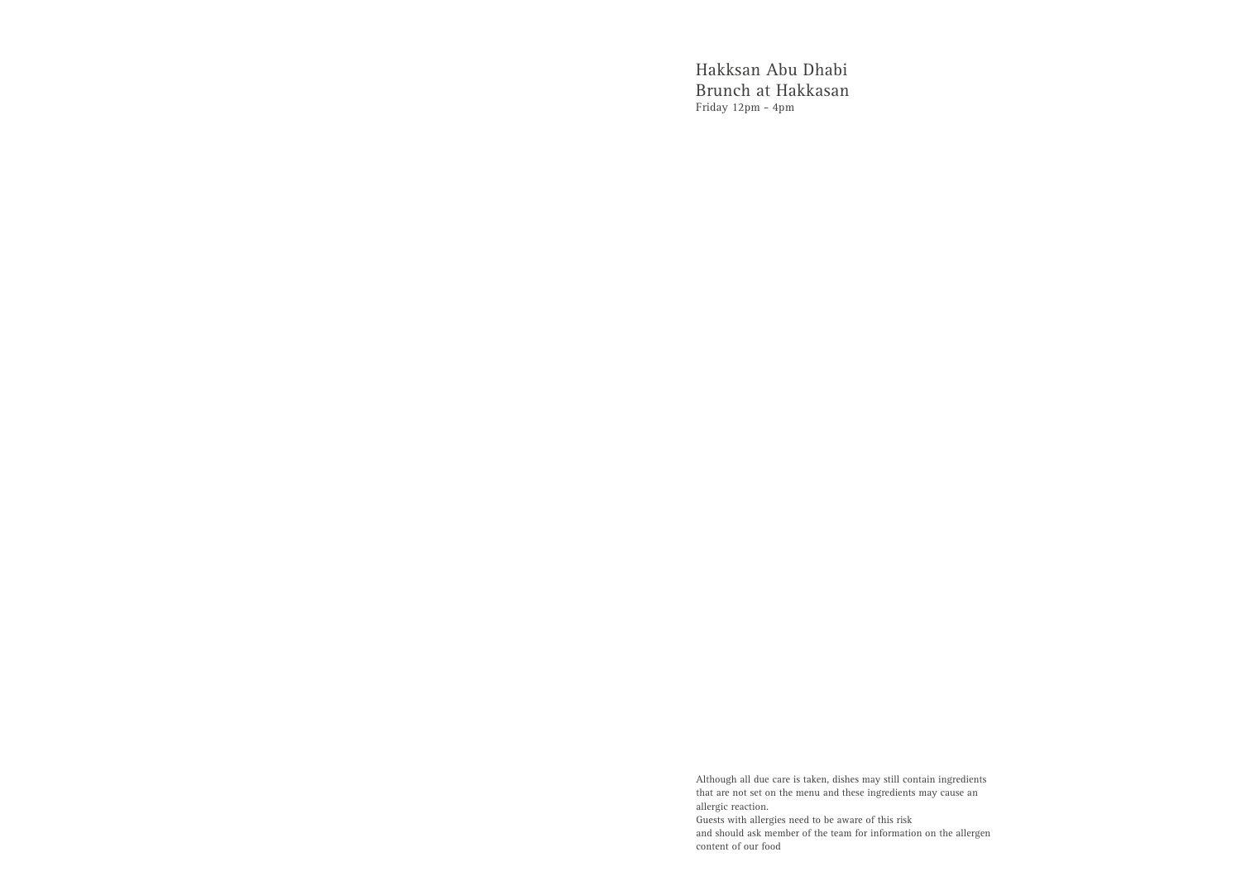Hakksan Abu Dhabi Brunch at Hakkasan Friday 12pm - 4pm

Although all due care is taken, dishes may still contain ingredients that are not set on the menu and these ingredients may cause an allergic reaction. Guests with allergies need to be aware of this risk and should ask member of the team for information on the allergen content of our food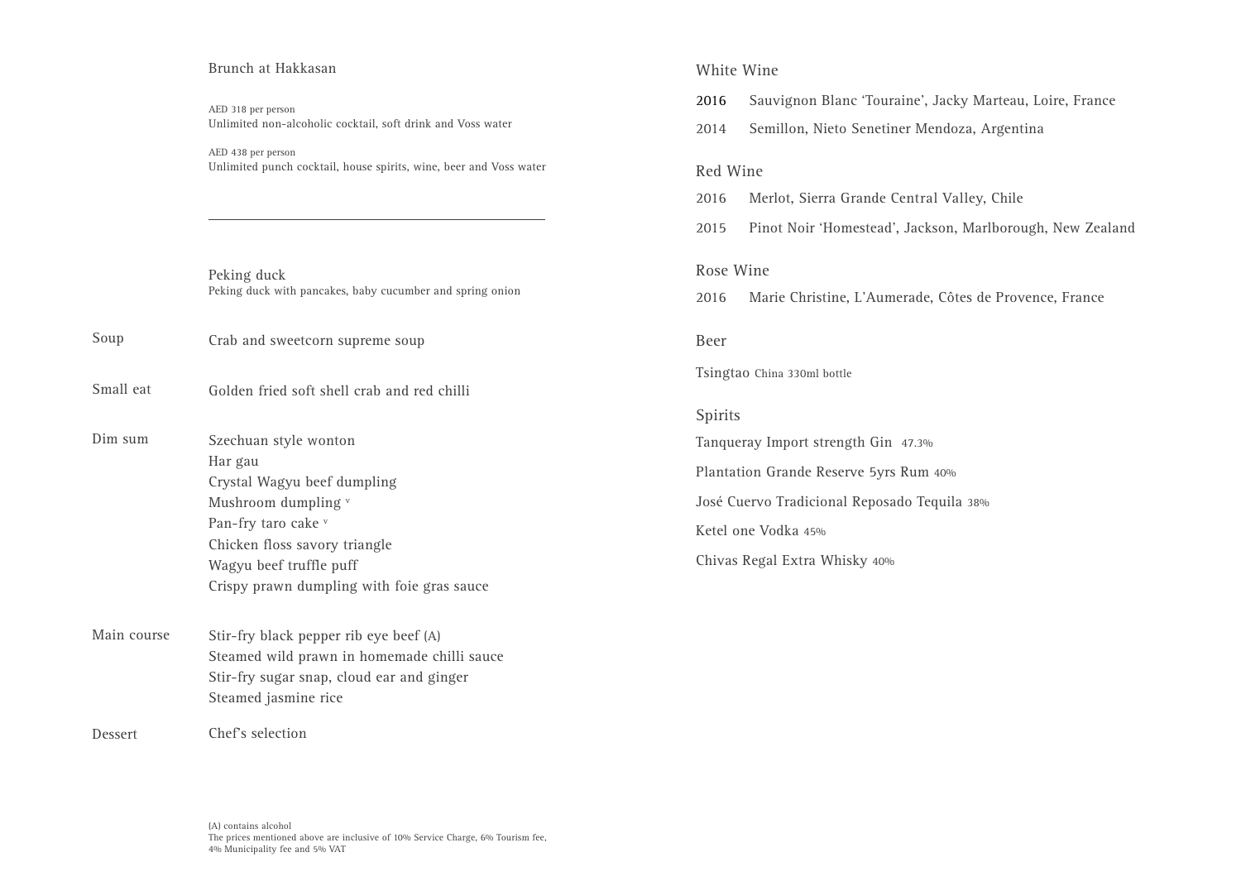#### Brunch at Hakkasan

AED 318 per person Unlimited non-alcoholic cocktail, soft drink and Voss water

AED 438 per person Unlimited punch cocktail, house spirits, wine, beer and Voss water

Peking duck Peking duck with pancakes, baby cucumber and spring onion

Crab and sweetcorn supreme soup Soup

Golden fried soft shell crab and red chilli Small eat

- Szechuan style wonton Har gau Crystal Wagyu beef dumpling Mushroom dumpling v Pan-fry taro cake v Chicken floss savory triangle Wagyu beef truffle puff Crispy prawn dumpling with foie gras sauce Dim sum
- Stir-fry black pepper rib eye beef (A) Steamed wild prawn in homemade chilli sauce Stir-fry sugar snap, cloud ear and ginger Steamed jasmine rice Main course

Chef's selection Dessert

# White Wine

- 2016 Sauvignon Blanc 'Touraine', Jacky Marteau, Loire, France
- 2014 Semillon, Nieto Senetiner Mendoza, Argentina

# Red Wine

- 2016 Merlot, Sierra Grande Central Valley, Chile
- 2015 Pinot Noir 'Homestead', Jackson, Marlborough, New Zealand

## Rose Wine

2016 Marie Christine, L'Aumerade, Côtes de Provence, France

## Beer

Tsingtao China 330ml bottle

## Spirits

Tanqueray Import strength Gin 47.3% Plantation Grande Reserve 5yrs Rum 40% José Cuervo Tradicional Reposado Tequila 38% Ketel one Vodka 45% Chivas Regal Extra Whisky 40%